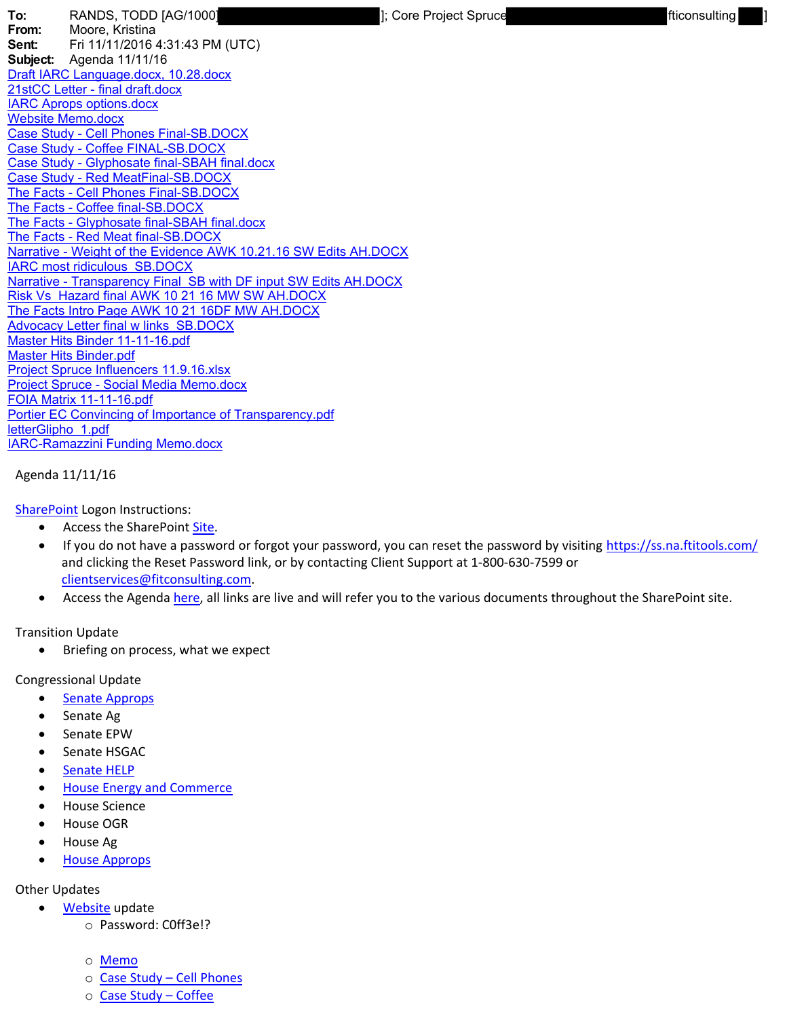**To:** RANDS, TODD [AG/1000] **19.1 [20]** [3] [Core Project Spruce **19.1 [20]** [ficonsulting **From:** Moore, Kristina **Sent:** Fri 11/11/2016 4:31:43 PM (UTC) **Subject:** Agenda 11/11/16 Draft IARC Language.docx, 10.28.docx 21stCC Letter - final draft.docx IARC Aprops options.docx Website Memo.docx Case Study - Cell Phones Final-SB.DOCX Case Study - Coffee FINAL-SB.DOCX Case Study - Glyphosate final-SBAH final.docx Case Study - Red MeatFinal-SB.DOCX The Facts - Cell Phones Final-SB.DOCX The Facts - Coffee final-SB.DOCX The Facts - Glyphosate final-SBAH final.docx The Facts - Red Meat final-SB.DOCX Narrative - Weight of the Evidence AWK 10.21.16 SW Edits AH.DOCX IARC most ridiculous SB.DOCX Narrative - Transparency Final SB with DF input SW Edits AH.DOCX Risk Vs Hazard final AWK 10 21 16 MW SW AH.DOCX The Facts Intro Page AWK 10 21 16DF MW AH.DOCX **Advocacy Letter final w links SB.DOCX** Master Hits Binder 11-11-16.pdf Master Hits Binder.pdf Project Spruce Influencers 11.9.16.xlsx Project Spruce - Social Media Memo.docx FOIA Matrix 11-11-16.pdf Portier EC Convincing of Importance of Transparency.pdf letterGlipho 1.pdf IARC-Ramazzini Funding Memo.docx

## Agenda 11/11/16

SharePoint Logon Instructions:

- Access the SharePoint Site.
- If you do not have a password or forgot your password, you can reset the password by visiting https://ss.na.ftitools.com/ and clicking the Reset Password link, or by contacting Client Support at 1-800-630-7599 or clientservices@fitconsulting.com.
- Access the Agenda here, all links are live and will refer you to the various documents throughout the SharePoint site.

## Transition Update

• Briefing on process, what we expect

Congressional Update

- Senate Approps
- Senate Ag
- Senate EPW
- Senate HSGAC
- Senate HELP
- House Energy and Commerce
- House Science
- House OGR
- House Ag
- House Approps

## Other Updates

- Website update
	- o Password: C0ff3e!?
	- o Memo
	- o Case Study Cell Phones
	- o Case Study Coffee